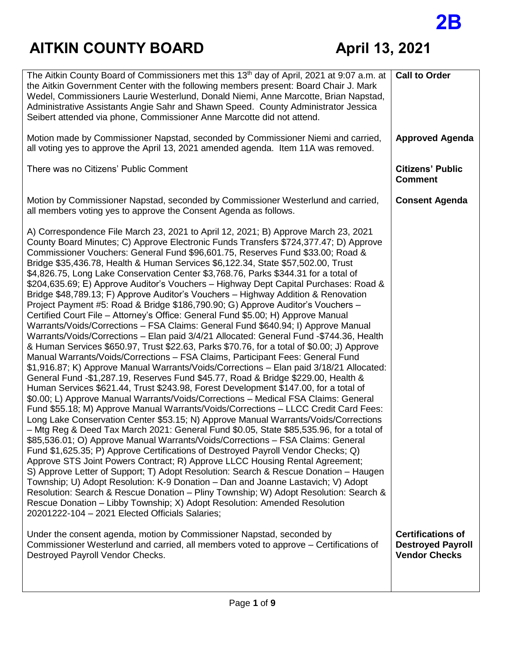# **2B**

| Wedel, Commissioners Laurie Westerlund, Donald Niemi, Anne Marcotte, Brian Napstad,<br>Administrative Assistants Angie Sahr and Shawn Speed. County Administrator Jessica<br>Seibert attended via phone, Commissioner Anne Marcotte did not attend.                                                                                                                                                                                                                                                                                                                                                                                                                                                                                                                                                                                                                                                                                                                                                                                                                                                                                                                                                                                                                                                                                                                                                                                                                                                                                                                                                                                                                                                                                                                                                                                                                                                                                                                                                                                                                                                                                                                                                                                                                                                                                                                                                                                                            |  |
|----------------------------------------------------------------------------------------------------------------------------------------------------------------------------------------------------------------------------------------------------------------------------------------------------------------------------------------------------------------------------------------------------------------------------------------------------------------------------------------------------------------------------------------------------------------------------------------------------------------------------------------------------------------------------------------------------------------------------------------------------------------------------------------------------------------------------------------------------------------------------------------------------------------------------------------------------------------------------------------------------------------------------------------------------------------------------------------------------------------------------------------------------------------------------------------------------------------------------------------------------------------------------------------------------------------------------------------------------------------------------------------------------------------------------------------------------------------------------------------------------------------------------------------------------------------------------------------------------------------------------------------------------------------------------------------------------------------------------------------------------------------------------------------------------------------------------------------------------------------------------------------------------------------------------------------------------------------------------------------------------------------------------------------------------------------------------------------------------------------------------------------------------------------------------------------------------------------------------------------------------------------------------------------------------------------------------------------------------------------------------------------------------------------------------------------------------------------|--|
| Motion made by Commissioner Napstad, seconded by Commissioner Niemi and carried,<br><b>Approved Agenda</b><br>all voting yes to approve the April 13, 2021 amended agenda. Item 11A was removed.                                                                                                                                                                                                                                                                                                                                                                                                                                                                                                                                                                                                                                                                                                                                                                                                                                                                                                                                                                                                                                                                                                                                                                                                                                                                                                                                                                                                                                                                                                                                                                                                                                                                                                                                                                                                                                                                                                                                                                                                                                                                                                                                                                                                                                                               |  |
| There was no Citizens' Public Comment<br><b>Citizens' Public</b><br><b>Comment</b>                                                                                                                                                                                                                                                                                                                                                                                                                                                                                                                                                                                                                                                                                                                                                                                                                                                                                                                                                                                                                                                                                                                                                                                                                                                                                                                                                                                                                                                                                                                                                                                                                                                                                                                                                                                                                                                                                                                                                                                                                                                                                                                                                                                                                                                                                                                                                                             |  |
| Motion by Commissioner Napstad, seconded by Commissioner Westerlund and carried,<br><b>Consent Agenda</b><br>all members voting yes to approve the Consent Agenda as follows.                                                                                                                                                                                                                                                                                                                                                                                                                                                                                                                                                                                                                                                                                                                                                                                                                                                                                                                                                                                                                                                                                                                                                                                                                                                                                                                                                                                                                                                                                                                                                                                                                                                                                                                                                                                                                                                                                                                                                                                                                                                                                                                                                                                                                                                                                  |  |
| A) Correspondence File March 23, 2021 to April 12, 2021; B) Approve March 23, 2021<br>County Board Minutes; C) Approve Electronic Funds Transfers \$724,377.47; D) Approve<br>Commissioner Vouchers: General Fund \$96,601.75, Reserves Fund \$33.00; Road &<br>Bridge \$35,436.78, Health & Human Services \$6,122.34, State \$57,502.00, Trust<br>\$4,826.75, Long Lake Conservation Center \$3,768.76, Parks \$344.31 for a total of<br>\$204,635.69; E) Approve Auditor's Vouchers - Highway Dept Capital Purchases: Road &<br>Bridge \$48,789.13; F) Approve Auditor's Vouchers - Highway Addition & Renovation<br>Project Payment #5: Road & Bridge \$186,790.90; G) Approve Auditor's Vouchers -<br>Certified Court File - Attorney's Office: General Fund \$5.00; H) Approve Manual<br>Warrants/Voids/Corrections - FSA Claims: General Fund \$640.94; I) Approve Manual<br>Warrants/Voids/Corrections - Elan paid 3/4/21 Allocated: General Fund -\$744.36, Health<br>& Human Services \$650.97, Trust \$22.63, Parks \$70.76, for a total of \$0.00; J) Approve<br>Manual Warrants/Voids/Corrections - FSA Claims, Participant Fees: General Fund<br>\$1,916.87; K) Approve Manual Warrants/Voids/Corrections - Elan paid 3/18/21 Allocated:<br>General Fund -\$1,287.19, Reserves Fund \$45.77, Road & Bridge \$229.00, Health &<br>Human Services \$621.44, Trust \$243.98, Forest Development \$147.00, for a total of<br>\$0.00; L) Approve Manual Warrants/Voids/Corrections - Medical FSA Claims: General<br>Fund \$55.18; M) Approve Manual Warrants/Voids/Corrections - LLCC Credit Card Fees:<br>Long Lake Conservation Center \$53.15; N) Approve Manual Warrants/Voids/Corrections<br>- Mtg Reg & Deed Tax March 2021: General Fund \$0.05, State \$85,535.96, for a total of<br>\$85,536.01; O) Approve Manual Warrants/Voids/Corrections - FSA Claims: General<br>Fund \$1,625.35; P) Approve Certifications of Destroyed Payroll Vendor Checks; Q)<br>Approve STS Joint Powers Contract; R) Approve LLCC Housing Rental Agreement;<br>S) Approve Letter of Support; T) Adopt Resolution: Search & Rescue Donation – Haugen<br>Township; U) Adopt Resolution: K-9 Donation - Dan and Joanne Lastavich; V) Adopt<br>Resolution: Search & Rescue Donation - Pliny Township; W) Adopt Resolution: Search &<br>Rescue Donation – Libby Township; X) Adopt Resolution: Amended Resolution<br>20201222-104 - 2021 Elected Officials Salaries; |  |
| <b>Certifications of</b><br>Under the consent agenda, motion by Commissioner Napstad, seconded by<br>Commissioner Westerlund and carried, all members voted to approve - Certifications of<br><b>Destroyed Payroll</b><br><b>Vendor Checks</b><br>Destroyed Payroll Vendor Checks.                                                                                                                                                                                                                                                                                                                                                                                                                                                                                                                                                                                                                                                                                                                                                                                                                                                                                                                                                                                                                                                                                                                                                                                                                                                                                                                                                                                                                                                                                                                                                                                                                                                                                                                                                                                                                                                                                                                                                                                                                                                                                                                                                                             |  |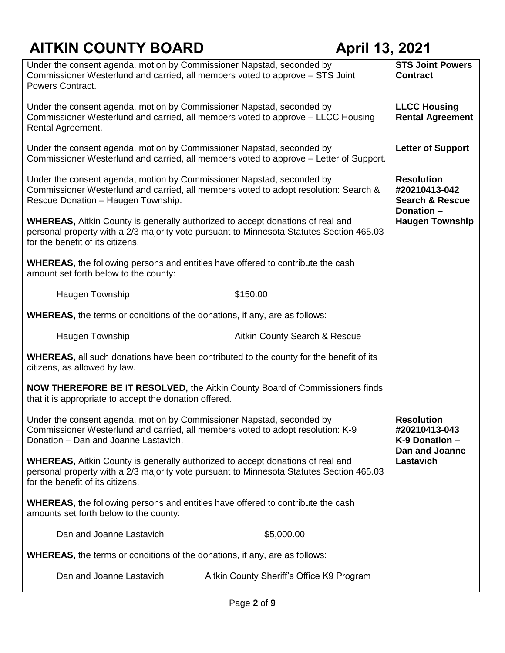| Under the consent agenda, motion by Commissioner Napstad, seconded by<br>Commissioner Westerlund and carried, all members voted to approve – STS Joint<br>Powers Contract.                                            | <b>STS Joint Powers</b><br><b>Contract</b>                       |                          |
|-----------------------------------------------------------------------------------------------------------------------------------------------------------------------------------------------------------------------|------------------------------------------------------------------|--------------------------|
| Under the consent agenda, motion by Commissioner Napstad, seconded by<br>Commissioner Westerlund and carried, all members voted to approve - LLCC Housing<br>Rental Agreement.                                        | <b>LLCC Housing</b><br><b>Rental Agreement</b>                   |                          |
| Under the consent agenda, motion by Commissioner Napstad, seconded by<br>Commissioner Westerlund and carried, all members voted to approve - Letter of Support.                                                       |                                                                  | <b>Letter of Support</b> |
| Under the consent agenda, motion by Commissioner Napstad, seconded by<br>Commissioner Westerlund and carried, all members voted to adopt resolution: Search &<br>Rescue Donation - Haugen Township.                   | <b>Resolution</b><br>#20210413-042<br><b>Search &amp; Rescue</b> |                          |
| <b>WHEREAS, Aitkin County is generally authorized to accept donations of real and</b><br>personal property with a 2/3 majority vote pursuant to Minnesota Statutes Section 465.03<br>for the benefit of its citizens. | Donation-<br><b>Haugen Township</b>                              |                          |
| <b>WHEREAS, the following persons and entities have offered to contribute the cash</b><br>amount set forth below to the county:                                                                                       |                                                                  |                          |
| Haugen Township                                                                                                                                                                                                       | \$150.00                                                         |                          |
| <b>WHEREAS, the terms or conditions of the donations, if any, are as follows:</b>                                                                                                                                     |                                                                  |                          |
| Haugen Township                                                                                                                                                                                                       | Aitkin County Search & Rescue                                    |                          |
| <b>WHEREAS, all such donations have been contributed to the county for the benefit of its</b><br>citizens, as allowed by law.                                                                                         |                                                                  |                          |
| <b>NOW THEREFORE BE IT RESOLVED, the Aitkin County Board of Commissioners finds</b><br>that it is appropriate to accept the donation offered.                                                                         |                                                                  |                          |
| Under the consent agenda, motion by Commissioner Napstad, seconded by<br>Commissioner Westerlund and carried, all members voted to adopt resolution: K-9<br>Donation - Dan and Joanne Lastavich.                      | <b>Resolution</b><br>#20210413-043<br>K-9 Donation -             |                          |
| <b>WHEREAS, Aitkin County is generally authorized to accept donations of real and</b><br>personal property with a 2/3 majority vote pursuant to Minnesota Statutes Section 465.03<br>for the benefit of its citizens. | <b>Dan and Joanne</b><br>Lastavich                               |                          |
| <b>WHEREAS, the following persons and entities have offered to contribute the cash</b><br>amounts set forth below to the county:                                                                                      |                                                                  |                          |
| Dan and Joanne Lastavich                                                                                                                                                                                              | \$5,000.00                                                       |                          |
| <b>WHEREAS, the terms or conditions of the donations, if any, are as follows:</b>                                                                                                                                     |                                                                  |                          |
| Dan and Joanne Lastavich                                                                                                                                                                                              | Aitkin County Sheriff's Office K9 Program                        |                          |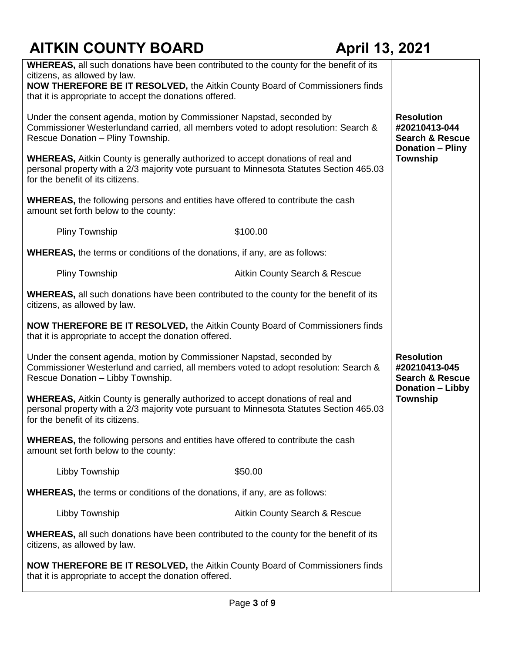| <b>WHEREAS, all such donations have been contributed to the county for the benefit of its</b> |                               |                            |
|-----------------------------------------------------------------------------------------------|-------------------------------|----------------------------|
| citizens, as allowed by law.                                                                  |                               |                            |
| NOW THEREFORE BE IT RESOLVED, the Aitkin County Board of Commissioners finds                  |                               |                            |
| that it is appropriate to accept the donations offered.                                       |                               |                            |
|                                                                                               |                               |                            |
| Under the consent agenda, motion by Commissioner Napstad, seconded by                         |                               | <b>Resolution</b>          |
| Commissioner Westerlundand carried, all members voted to adopt resolution: Search &           |                               | #20210413-044              |
| Rescue Donation - Pliny Township.                                                             |                               | <b>Search &amp; Rescue</b> |
|                                                                                               |                               | <b>Donation - Pliny</b>    |
| <b>WHEREAS, Aitkin County is generally authorized to accept donations of real and</b>         |                               | <b>Township</b>            |
| personal property with a 2/3 majority vote pursuant to Minnesota Statutes Section 465.03      |                               |                            |
| for the benefit of its citizens.                                                              |                               |                            |
|                                                                                               |                               |                            |
| <b>WHEREAS</b> , the following persons and entities have offered to contribute the cash       |                               |                            |
| amount set forth below to the county:                                                         |                               |                            |
|                                                                                               |                               |                            |
| <b>Pliny Township</b>                                                                         | \$100.00                      |                            |
|                                                                                               |                               |                            |
| <b>WHEREAS</b> , the terms or conditions of the donations, if any, are as follows:            |                               |                            |
|                                                                                               |                               |                            |
| Pliny Township                                                                                | Aitkin County Search & Rescue |                            |
|                                                                                               |                               |                            |
| <b>WHEREAS, all such donations have been contributed to the county for the benefit of its</b> |                               |                            |
| citizens, as allowed by law.                                                                  |                               |                            |
|                                                                                               |                               |                            |
| <b>NOW THEREFORE BE IT RESOLVED, the Aitkin County Board of Commissioners finds</b>           |                               |                            |
| that it is appropriate to accept the donation offered.                                        |                               |                            |
|                                                                                               |                               |                            |
| Under the consent agenda, motion by Commissioner Napstad, seconded by                         |                               | <b>Resolution</b>          |
| Commissioner Westerlund and carried, all members voted to adopt resolution: Search &          |                               | #20210413-045              |
| Rescue Donation - Libby Township.                                                             |                               | <b>Search &amp; Rescue</b> |
|                                                                                               |                               | <b>Donation - Libby</b>    |
| <b>WHEREAS, Aitkin County is generally authorized to accept donations of real and</b>         |                               | <b>Township</b>            |
| personal property with a 2/3 majority vote pursuant to Minnesota Statutes Section 465.03      |                               |                            |
| for the benefit of its citizens.                                                              |                               |                            |
|                                                                                               |                               |                            |
| <b>WHEREAS, the following persons and entities have offered to contribute the cash</b>        |                               |                            |
| amount set forth below to the county:                                                         |                               |                            |
|                                                                                               |                               |                            |
| Libby Township                                                                                | \$50.00                       |                            |
|                                                                                               |                               |                            |
| <b>WHEREAS, the terms or conditions of the donations, if any, are as follows:</b>             |                               |                            |
|                                                                                               |                               |                            |
| Libby Township                                                                                | Aitkin County Search & Rescue |                            |
|                                                                                               |                               |                            |
| <b>WHEREAS,</b> all such donations have been contributed to the county for the benefit of its |                               |                            |
| citizens, as allowed by law.                                                                  |                               |                            |
|                                                                                               |                               |                            |
| NOW THEREFORE BE IT RESOLVED, the Aitkin County Board of Commissioners finds                  |                               |                            |
| that it is appropriate to accept the donation offered.                                        |                               |                            |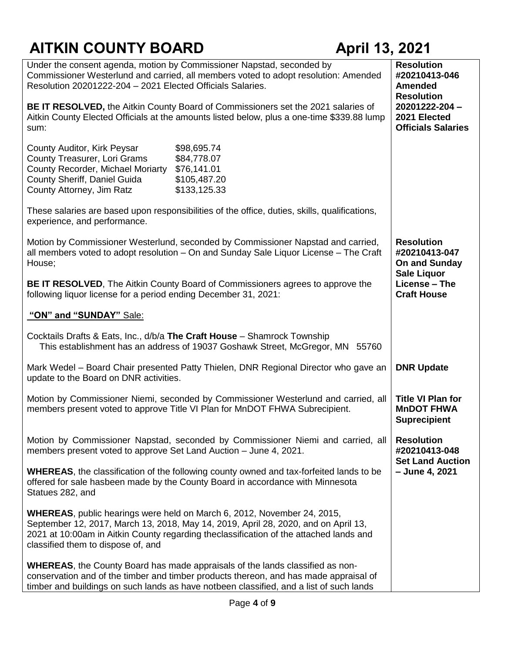| Under the consent agenda, motion by Commissioner Napstad, seconded by<br>Commissioner Westerlund and carried, all members voted to adopt resolution: Amended<br>Resolution 20201222-204 - 2021 Elected Officials Salaries.                                                                            | <b>Resolution</b><br>#20210413-046<br><b>Amended</b><br><b>Resolution</b> |                                                                           |
|-------------------------------------------------------------------------------------------------------------------------------------------------------------------------------------------------------------------------------------------------------------------------------------------------------|---------------------------------------------------------------------------|---------------------------------------------------------------------------|
| BE IT RESOLVED, the Aitkin County Board of Commissioners set the 2021 salaries of<br>Aitkin County Elected Officials at the amounts listed below, plus a one-time \$339.88 lump<br>sum:                                                                                                               |                                                                           | 20201222-204-<br>2021 Elected<br><b>Officials Salaries</b>                |
| County Auditor, Kirk Peysar<br>\$98,695.74<br>County Treasurer, Lori Grams<br>\$84,778.07<br>County Recorder, Michael Moriarty<br>\$76,141.01<br>County Sheriff, Daniel Guida<br>\$105,487.20<br>County Attorney, Jim Ratz<br>\$133,125.33                                                            |                                                                           |                                                                           |
| These salaries are based upon responsibilities of the office, duties, skills, qualifications,<br>experience, and performance.                                                                                                                                                                         |                                                                           |                                                                           |
| Motion by Commissioner Westerlund, seconded by Commissioner Napstad and carried,<br>all members voted to adopt resolution - On and Sunday Sale Liquor License - The Craft<br>House;                                                                                                                   |                                                                           | <b>Resolution</b><br>#20210413-047<br>On and Sunday<br><b>Sale Liquor</b> |
| <b>BE IT RESOLVED, The Aitkin County Board of Commissioners agrees to approve the</b><br>following liquor license for a period ending December 31, 2021:                                                                                                                                              | License - The<br><b>Craft House</b>                                       |                                                                           |
| "ON" and "SUNDAY" Sale:                                                                                                                                                                                                                                                                               |                                                                           |                                                                           |
| Cocktails Drafts & Eats, Inc., d/b/a The Craft House - Shamrock Township<br>This establishment has an address of 19037 Goshawk Street, McGregor, MN 55760                                                                                                                                             |                                                                           |                                                                           |
| Mark Wedel - Board Chair presented Patty Thielen, DNR Regional Director who gave an<br>update to the Board on DNR activities.                                                                                                                                                                         |                                                                           | <b>DNR Update</b>                                                         |
| Motion by Commissioner Niemi, seconded by Commissioner Westerlund and carried, all<br>members present voted to approve Title VI Plan for MnDOT FHWA Subrecipient.                                                                                                                                     | <b>Title VI Plan for</b><br><b>MnDOT FHWA</b><br><b>Suprecipient</b>      |                                                                           |
| Motion by Commissioner Napstad, seconded by Commissioner Niemi and carried, all<br>members present voted to approve Set Land Auction - June 4, 2021.                                                                                                                                                  | <b>Resolution</b><br>#20210413-048<br><b>Set Land Auction</b>             |                                                                           |
| <b>WHEREAS</b> , the classification of the following county owned and tax-forfeited lands to be<br>offered for sale hasbeen made by the County Board in accordance with Minnesota<br>Statues 282, and                                                                                                 | - June 4, 2021                                                            |                                                                           |
| <b>WHEREAS</b> , public hearings were held on March 6, 2012, November 24, 2015,<br>September 12, 2017, March 13, 2018, May 14, 2019, April 28, 2020, and on April 13,<br>2021 at 10:00am in Aitkin County regarding theclassification of the attached lands and<br>classified them to dispose of, and |                                                                           |                                                                           |
| <b>WHEREAS, the County Board has made appraisals of the lands classified as non-</b><br>conservation and of the timber and timber products thereon, and has made appraisal of<br>timber and buildings on such lands as have notbeen classified, and a list of such lands                              |                                                                           |                                                                           |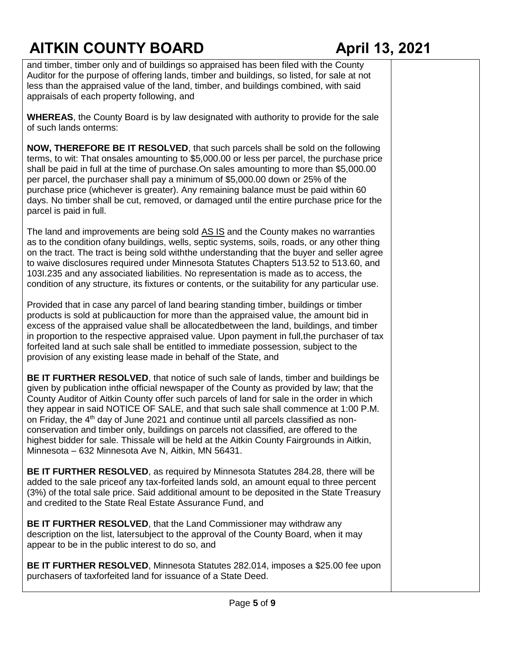and timber, timber only and of buildings so appraised has been filed with the County Auditor for the purpose of offering lands, timber and buildings, so listed, for sale at not less than the appraised value of the land, timber, and buildings combined, with said appraisals of each property following, and

**WHEREAS**, the County Board is by law designated with authority to provide for the sale of such lands onterms:

**NOW, THEREFORE BE IT RESOLVED**, that such parcels shall be sold on the following terms, to wit: That onsales amounting to \$5,000.00 or less per parcel, the purchase price shall be paid in full at the time of purchase.On sales amounting to more than \$5,000.00 per parcel, the purchaser shall pay a minimum of \$5,000.00 down or 25% of the purchase price (whichever is greater). Any remaining balance must be paid within 60 days. No timber shall be cut, removed, or damaged until the entire purchase price for the parcel is paid in full.

The land and improvements are being sold AS IS and the County makes no warranties as to the condition ofany buildings, wells, septic systems, soils, roads, or any other thing on the tract. The tract is being sold withthe understanding that the buyer and seller agree to waive disclosures required under Minnesota Statutes Chapters 513.52 to 513.60, and 103I.235 and any associated liabilities. No representation is made as to access, the condition of any structure, its fixtures or contents, or the suitability for any particular use.

Provided that in case any parcel of land bearing standing timber, buildings or timber products is sold at publicauction for more than the appraised value, the amount bid in excess of the appraised value shall be allocatedbetween the land, buildings, and timber in proportion to the respective appraised value. Upon payment in full,the purchaser of tax forfeited land at such sale shall be entitled to immediate possession, subject to the provision of any existing lease made in behalf of the State, and

**BE IT FURTHER RESOLVED**, that notice of such sale of lands, timber and buildings be given by publication inthe official newspaper of the County as provided by law; that the County Auditor of Aitkin County offer such parcels of land for sale in the order in which they appear in said NOTICE OF SALE, and that such sale shall commence at 1:00 P.M. on Friday, the  $4<sup>th</sup>$  day of June 2021 and continue until all parcels classified as nonconservation and timber only, buildings on parcels not classified, are offered to the highest bidder for sale. Thissale will be held at the Aitkin County Fairgrounds in Aitkin, Minnesota – 632 Minnesota Ave N, Aitkin, MN 56431.

**BE IT FURTHER RESOLVED**, as required by Minnesota Statutes 284.28, there will be added to the sale priceof any tax-forfeited lands sold, an amount equal to three percent (3%) of the total sale price. Said additional amount to be deposited in the State Treasury and credited to the State Real Estate Assurance Fund, and

**BE IT FURTHER RESOLVED**, that the Land Commissioner may withdraw any description on the list, latersubject to the approval of the County Board, when it may appear to be in the public interest to do so, and

**BE IT FURTHER RESOLVED**, Minnesota Statutes 282.014, imposes a \$25.00 fee upon purchasers of taxforfeited land for issuance of a State Deed.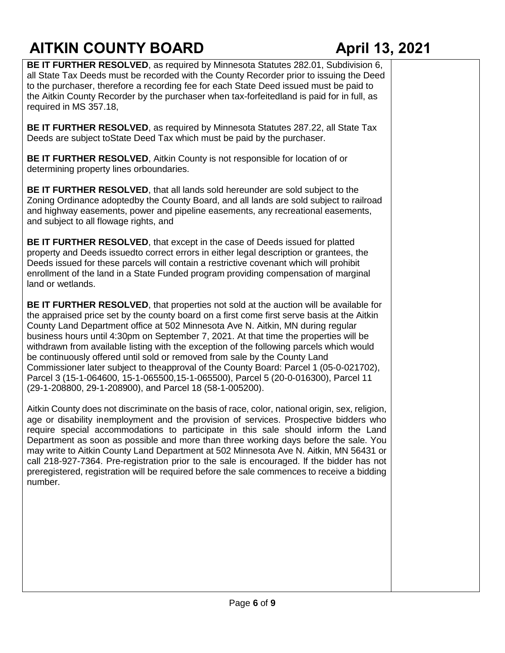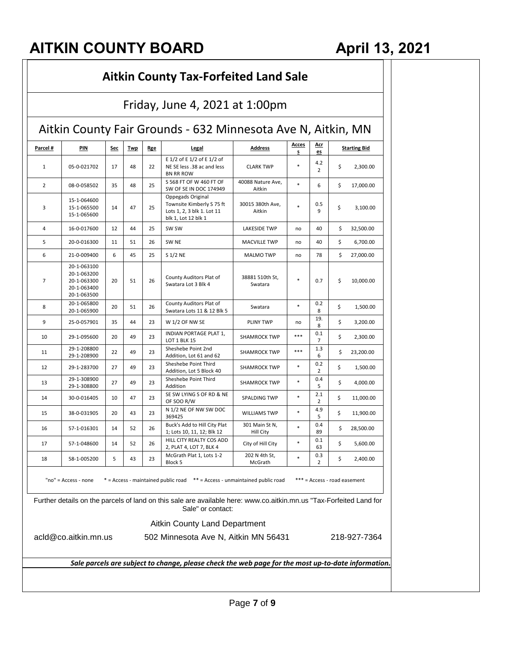| Friday, June 4, 2021 at 1:00pm<br>Aitkin County Fair Grounds - 632 Minnesota Ave N, Aitkin, MN |                                                                         |    |    |    |                                                                                                                                          |                             |          |                       |                              |
|------------------------------------------------------------------------------------------------|-------------------------------------------------------------------------|----|----|----|------------------------------------------------------------------------------------------------------------------------------------------|-----------------------------|----------|-----------------------|------------------------------|
|                                                                                                |                                                                         |    |    |    |                                                                                                                                          |                             | Parcel # | PIN                   | <u>Sec</u>                   |
| 1                                                                                              | 05-0-021702                                                             | 17 | 48 | 22 | E 1/2 of E 1/2 of E 1/2 of<br>NE SE less .38 ac and less<br><b>BN RR ROW</b>                                                             | <b>CLARK TWP</b>            | $\ast$   | 4.2<br>$\overline{2}$ | \$<br>2,300.00               |
| $\overline{2}$                                                                                 | 08-0-058502                                                             | 35 | 48 | 25 | S 568 FT OF W 460 FT OF<br>SW OF SE IN DOC 174949                                                                                        | 40088 Nature Ave,<br>Aitkin | $\ast$   | 6                     | \$<br>17,000.00              |
| 3                                                                                              | 15-1-064600<br>15-1-065500<br>15-1-065600                               | 14 | 47 | 25 | Oppegads Original<br>Townsite Kimberly S 75 ft<br>Lots 1, 2, 3 blk 1. Lot 11<br>blk 1, Lot 12 blk 1                                      | 30015 380th Ave,<br>Aitkin  | $\ast$   | 0.5<br>9              | \$<br>3,100.00               |
| 4                                                                                              | 16-0-017600                                                             | 12 | 44 | 25 | SW SW                                                                                                                                    | LAKESIDE TWP                | no       | 40                    | \$<br>32,500.00              |
| 5                                                                                              | 20-0-016300                                                             | 11 | 51 | 26 | SW <sub>NE</sub>                                                                                                                         | <b>MACVILLE TWP</b>         | no       | 40                    | \$<br>6,700.00               |
| 6                                                                                              | 21-0-009400                                                             | 6  | 45 | 25 | S 1/2 NE                                                                                                                                 | <b>MALMO TWP</b>            | no       | 78                    | \$<br>27,000.00              |
| 7                                                                                              | 20-1-063100<br>20-1-063200<br>20-1-063300<br>20-1-063400<br>20-1-063500 | 20 | 51 | 26 | County Auditors Plat of<br>Swatara Lot 3 Blk 4                                                                                           | 38881 510th St,<br>Swatara  | $\ast$   | 0.7                   | \$<br>10,000.00              |
| 8                                                                                              | 20-1-065800<br>20-1-065900                                              | 20 | 51 | 26 | County Auditors Plat of<br>Swatara Lots 11 & 12 Blk 5                                                                                    | Swatara                     | $\ast$   | 0.2<br>8              | \$<br>1,500.00               |
| 9                                                                                              | 25-0-057901                                                             | 35 | 44 | 23 | W 1/2 OF NW SE                                                                                                                           | <b>PLINY TWP</b>            | no       | 19.<br>8              | \$<br>3,200.00               |
| 10                                                                                             | 29-1-095600                                                             | 20 | 49 | 23 | INDIAN PORTAGE PLAT 1,<br>LOT 1 BLK 15                                                                                                   | <b>SHAMROCK TWP</b>         | ***      | 0.1<br>7              | \$<br>2,300.00               |
| 11                                                                                             | 29-1-208800<br>29-1-208900                                              | 22 | 49 | 23 | Sheshebe Point 2nd<br>Addition, Lot 61 and 62                                                                                            | <b>SHAMROCK TWP</b>         | ***      | 1.3<br>6              | \$<br>23,200.00              |
| 12                                                                                             | 29-1-283700                                                             | 27 | 49 | 23 | Sheshebe Point Third<br>Addition, Lot 5 Block 40                                                                                         | <b>SHAMROCK TWP</b>         | $\ast$   | 0.2<br>2              | \$<br>1,500.00               |
| 13                                                                                             | 29-1-308900<br>29-1-308800                                              | 27 | 49 | 23 | Sheshebe Point Third<br>Addition                                                                                                         | <b>SHAMROCK TWP</b>         | $\ast$   | 0.4<br>5              | \$<br>4,000.00               |
| 14                                                                                             | 30-0-016405                                                             | 10 | 47 | 23 | SE SW LYING S OF RD & NE<br>OF SOO R/W                                                                                                   | SPALDING TWP                | $\ast$   | 2.1<br>2              | \$<br>11,000.00              |
| 15                                                                                             | 38-0-031905                                                             | 20 | 43 | 23 | N 1/2 NE OF NW SW DOC<br>369425                                                                                                          | <b>WILLIAMS TWP</b>         | $\ast$   | 4.9<br>5              | \$<br>11,900.00              |
| 16                                                                                             | 57-1-016301                                                             | 14 | 52 | 26 | Buck's Add to Hill City Plat<br>1; Lots 10, 11, 12; Blk 12                                                                               | 301 Main St N,<br>Hill City | $\ast$   | 0.4<br>89             | \$<br>28,500.00              |
| 17                                                                                             | 57-1-048600                                                             | 14 | 52 | 26 | HILL CITY REALTY COS ADD<br>2, PLAT 4, LOT 7, BLK 4                                                                                      | City of Hill City           | $\ast$   | 0.1<br>63             | \$<br>5,600.00               |
| 18                                                                                             | 58-1-005200                                                             | 5  | 43 | 23 | McGrath Plat 1, Lots 1-2<br>Block 5                                                                                                      | 202 N 4th St,<br>McGrath    | $\ast$   | 0.3<br>2              | \$<br>2,400.00               |
|                                                                                                | "no" = Access - none                                                    |    |    |    | * = Access - maintained public road ** = Access - unmaintained public road                                                               |                             |          |                       | *** = Access - road easement |
|                                                                                                |                                                                         |    |    |    | Further details on the parcels of land on this sale are available here: www.co.aitkin.mn.us "Tax-Forfeited Land for<br>Sale" or contact: |                             |          |                       |                              |
|                                                                                                |                                                                         |    |    |    | <b>Aitkin County Land Department</b>                                                                                                     |                             |          |                       |                              |
|                                                                                                | acld@co.aitkin.mn.us                                                    |    |    |    | 502 Minnesota Ave N, Aitkin MN 56431                                                                                                     |                             |          |                       | 218-927-7364                 |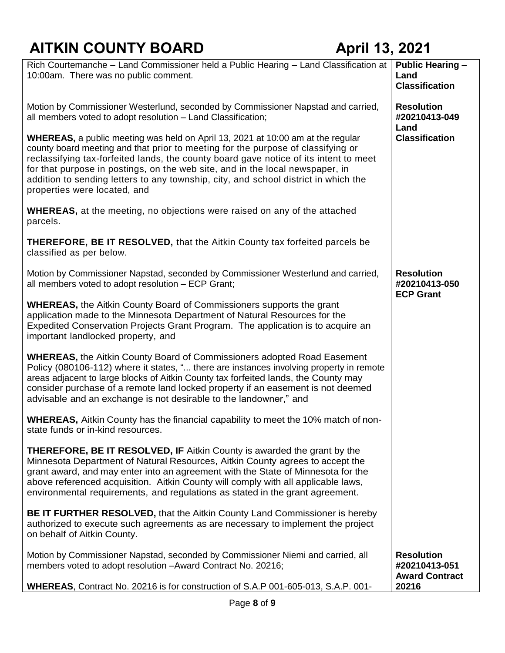| Rich Courtemanche - Land Commissioner held a Public Hearing - Land Classification at<br>10:00am. There was no public comment.                                                                                                                                                                                                                                                                                                                                               | <b>Public Hearing -</b><br>Land<br><b>Classification</b>    |
|-----------------------------------------------------------------------------------------------------------------------------------------------------------------------------------------------------------------------------------------------------------------------------------------------------------------------------------------------------------------------------------------------------------------------------------------------------------------------------|-------------------------------------------------------------|
| Motion by Commissioner Westerlund, seconded by Commissioner Napstad and carried,<br>all members voted to adopt resolution - Land Classification;                                                                                                                                                                                                                                                                                                                            | <b>Resolution</b><br>#20210413-049<br>Land                  |
| <b>WHEREAS,</b> a public meeting was held on April 13, 2021 at 10:00 am at the regular<br>county board meeting and that prior to meeting for the purpose of classifying or<br>reclassifying tax-forfeited lands, the county board gave notice of its intent to meet<br>for that purpose in postings, on the web site, and in the local newspaper, in<br>addition to sending letters to any township, city, and school district in which the<br>properties were located, and | <b>Classification</b>                                       |
| <b>WHEREAS</b> , at the meeting, no objections were raised on any of the attached<br>parcels.                                                                                                                                                                                                                                                                                                                                                                               |                                                             |
| <b>THEREFORE, BE IT RESOLVED, that the Aitkin County tax forfeited parcels be</b><br>classified as per below.                                                                                                                                                                                                                                                                                                                                                               |                                                             |
| Motion by Commissioner Napstad, seconded by Commissioner Westerlund and carried,<br>all members voted to adopt resolution - ECP Grant;                                                                                                                                                                                                                                                                                                                                      | <b>Resolution</b><br>#20210413-050<br><b>ECP Grant</b>      |
| <b>WHEREAS, the Aitkin County Board of Commissioners supports the grant</b><br>application made to the Minnesota Department of Natural Resources for the<br>Expedited Conservation Projects Grant Program. The application is to acquire an<br>important landlocked property, and                                                                                                                                                                                           |                                                             |
| <b>WHEREAS, the Aitkin County Board of Commissioners adopted Road Easement</b><br>Policy (080106-112) where it states, " there are instances involving property in remote<br>areas adjacent to large blocks of Aitkin County tax forfeited lands, the County may<br>consider purchase of a remote land locked property if an easement is not deemed<br>advisable and an exchange is not desirable to the landowner," and                                                    |                                                             |
| <b>WHEREAS,</b> Aitkin County has the financial capability to meet the 10% match of non-<br>state funds or in-kind resources.                                                                                                                                                                                                                                                                                                                                               |                                                             |
| <b>THEREFORE, BE IT RESOLVED, IF Aitkin County is awarded the grant by the</b><br>Minnesota Department of Natural Resources, Aitkin County agrees to accept the<br>grant award, and may enter into an agreement with the State of Minnesota for the<br>above referenced acquisition. Aitkin County will comply with all applicable laws,<br>environmental requirements, and regulations as stated in the grant agreement.                                                   |                                                             |
| <b>BE IT FURTHER RESOLVED, that the Aitkin County Land Commissioner is hereby</b><br>authorized to execute such agreements as are necessary to implement the project<br>on behalf of Aitkin County.                                                                                                                                                                                                                                                                         |                                                             |
| Motion by Commissioner Napstad, seconded by Commissioner Niemi and carried, all<br>members voted to adopt resolution -Award Contract No. 20216;                                                                                                                                                                                                                                                                                                                             | <b>Resolution</b><br>#20210413-051<br><b>Award Contract</b> |
| WHEREAS, Contract No. 20216 is for construction of S.A.P 001-605-013, S.A.P. 001-                                                                                                                                                                                                                                                                                                                                                                                           | 20216                                                       |